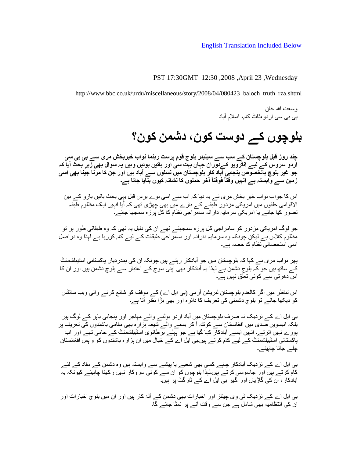## English Translation Included Below

PST 17:30GMT 12:30 ,2008 ,April 23 ,Wednesday

http://www.bbc.co.uk/urdu/miscellaneous/story/2008/04/080423\_baloch\_truth\_rza.shtml

وسعت الله خان بی بی سی اردو،ڈاٹ کام، اسلام آباد

## **بلوچوں کے دوست کون، دشمن کون؟**

**چند روز قبل بلوچستان کے سب سے سینیئر بلوچ قوم پرست رہنما نواب خیربخش مری سے بی بی سی ِ اردو سروس کے لیے انٹرویو کےدوران جہاں بہت سی اور باتیں ہوئیں وہیں یہ سوال بھی زیر بحث آیا کہ جو غیر بلوچ بالخصوص پنجابی آباد کار بلوچستان میں نسلوں سے آباد ہیں اور جن کا مرنا جینا بھی اسی ً ً زمین سے وابستہ ہے انہیں وقتا فوقتا آخر حملوں کا نشانہ کیوں بنایا جاتا ہے۔**

اس کا جواب نواب خیر بخش مری نے یہ دیا کہ اب سے اسی نوے برس قبل یہی بحث بائیں بازو کے بین الاقوامی حلقوں میں امریکی مزدور طبقے کے بارے میں بھی چھڑی تھی کہ آیا انہیں ایک مظ لوم طبقہ ِ تصور کیا جائے یا امریکی سرمایہ دارانہ سامراجی نظام کا کل پرزه سمجھا جائے۔

جو لوگ امریکی مزدور کو سامراجی کل پرزه سمجھتے تھے ان کی دلیل یہ تھی کہ وه طبقاتی طور پر تو مظلوم کلاس ہے لیکن چونکہ وه سرمایہ دارانہ اور سامراجی طبقات کے لیے کام کررہا ہے لہذا وه دراصل اسی استحصالی نظام کا حصہ ہے۔

پھر نواب مری نے کہا کہ بلوچستان میں جو آبادکار رہتے ہیں چونکہ ان کی ہمدردیاں پاکستانی اسٹیبلشمنٹ کے ساتھ ہیں جو کہ بلوچ دشمن ہے لہذا یہ آبادکار بھی اپنی سوچ کے اعتبار سے بلوچ دشمن ہیں اور ان کا اس دھرتی سے کوئی تعلق نہیں ہے۔

اس تناظر میں اگر کالعدم بلوچستان لبریشن آرمی (بی ایل اے) کے موقف کو شائع کرنے والی ویب سائٹس کو دیکھا جائے تو بلوچ دشمنی کی تعریف کا دائره اور بھی بڑا نظر آتا ہے۔

بی ایل اے کے نزدیک نہ صرف بلوچستان میں آباد اردو بولنے والے مہاجر اور پنجابی باہر کے لوگ ہیں بلکہ انیسویں صدی میں افغانستان سے کوئٹہ آ کر بسنے والے شیعہ ہزاره بھی مقامی باشندوں کی تعریف پر پورے نہیں اترتے۔ انہیں ایسے آبادکار کہا گیا ہے جو پہلے برطانوی اسٹیبلشمنٹ کے حامی تھے اور اب پاکستانی اسٹیبلشمنٹ کے لیے کام کرتے ہیں۔بی ایل اے کے خیال میں ان ہزاره باشندوں کو واپس افغانستان چلے جانا چاہیئے۔

بی ایل اے کے نزدیک آبادکار چاہے کسی بھی شعبے یا پیشے سے وابستہ ہیں وه دشمن کے مفاد کے لئے کام کرتے ہیں اور جاسوسی کرتے ہیں۔لہذا بلوچوں کو ان سے کوئی سروکار نہیں رکھنا چاہیئے کیونکہ یہ آبادکار، ان کی گاڑیاں اور گھر بی ایل اے کے ٹارگٹ پر ہیں۔

بی ایل اے کے نزدیک ٹی وی چینلز اور اخبارات بھی دشمن کے آلۂ کار ہیں اور ان میں بلوچ اخبارات اور ان کی انتظامیہ بھی شامل ہے جن سے وقت آنے پر نمٹا جائے گا۔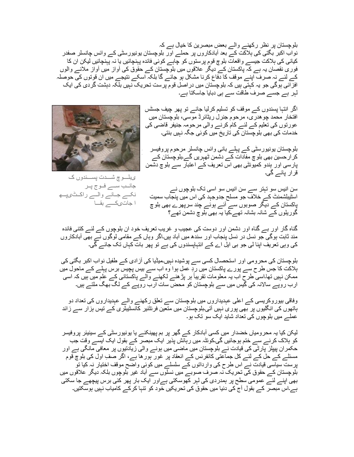بلوچستان پر نظر رکھنے والے بعض مبصرین کا خیال ہے کہ نواب اکبر بگتی کی ہلاکت کے بعد آبادکاروں پر حملے اور بلوچستان یونیورسٹی کے وائس چانسلر صفدر کیانی کی ہلاکت جیسے واقعات بلوچ قوم پرستوں کو چاہے کوئی فائده پہنچائیں یا نہ پہنچائیں لیکن ان کا فوری نقصان یہ ہے کہ پاکستان کے دیگر علاقوں میں بلوچستان کے حقوق کی آواز میں آواز ملانے والوں کے لئے نہ صرف اپنے موقف کا دفاع کرنا مشکل ہو جائے گا بلکہ اسکے نتیجے میں ان قوتوں کی حوصلہ افزائی ہوگی جو یہ کہتی ہیں کہ بلوچستان میں دراصل قوم پرست تحریک نہیں بلکہ دہشت گردی کی ایک لہر ہے جسے صرف طاقت سے ہی دبایا جاسکتا ہے۔

> اگر انتہا پسندوں کے موقف کو تسلیم کرلیا جائے تو پھر چیف جسٹس افتخار محمد چوھدری، مرحوم جنرل ریٹائرڈ موسی، بلوچستان میں عورتوں کی تعلیم کے لئے کام کرنے والی مرحومہ جنیفر قاضی کی خدمات کی بھی بلوچستان کی تاریخ میں کوئی جگہ نہیں بنتی۔



بلوچستان یونیورسٹی کے پہلے بانی وائس چانسلر مرحوم پروفیسر **Error!** کرارحسین بھی بلوچ مفادات کے دشمن ٹھہریں گے۔بلوچستان کے پارسی اور ہندو کمیونٹی بھی اس تعریف کے اعتبار سے بلوچ دشمن قرار پائے گی۔

یبلــــوچ شـــــدت پســــندوں ک جانــب ســـے فــوج پــر نکے جانے والے راکٹیپ ا جاتیکے بقا

سن انیس سو تہتر سے سن انیس سو اسی تک بلوچوں نے اسٹیبلشمنٹ کے خلاف جو مسلح جدوجہد کی اس میں پنجاب سمیت پاکستان کے دیگر صوبوں سے آئے ہوئے چند سرپھرے بھی بلوچ گوریلوں کے شانہ بشانہ تھے۔کیا یہ بھی بلوچ دشمن تھے؟

گناه گار اور بے گناه اور دشمن اور دوست کی عجیب و غریب تعریف خود ان بلوچوں کے لئے کتنی فائده مند ثابت ہوگی جو نسل در نسل پنجاب اور سندھ میں آباد ہیں۔اگر وہاں کے مقامی لوگوں نے بھی آبادکاروں کی وہی تعریف اپنا لی جو بی ایل اے کے انتہاپسندوں کی ہے تو پھر بات کہاں تک جائے گی۔

بلوچستان کی محرومی اور استحصال کسی سے پوشیده نہیں۔میڈیا کی آزادی کے طفیل نواب اکبر بگتی کی ہلاکت کا جس طرح سے پورے پاکستان ِ میں رد عمل ہوا وه اب سے بیس پچیس برس پہلے کے ماحول میں ً ممکن نہیں تھا۔اسی طرح اب یہ معلومات تقریبا ہر پڑھنے لکھنے والے پاکستانی کے علم میں ہیں کہ اسی ارب روپے سالانہ کی گیس میں سے بلوچستان کو محض سات ارب روپے کے لگ بھگ ملتے ہیں۔

وفاقی بیوروکریسی کے اعلی عہدیداروں میں بلوچستان سے تعلق رکھنے والے عہدیداروں کی تعداد دو ہاتھوں کی انگلیوں پر بھی پوری نہیں آتی۔بلوچستان میں متعین فرنٹئیر کانسٹیبلری کے تیس ہزار سے زائد عملے میں بلوچوں کی تعداد شاید ایک سو تک ہو۔

لیکن کیا یہ محرومیاں خضدار میں کسی آبادکار کے گھر پر بم پھینکنے یا یونیورسٹی کے سینیئر پروفیسر کو ہلاک کرنے سے ختم ہوجائیں گی۔کوئٹہ میں رہائش پذیر ایک مبصر کے بقول ایک ایسے وقت جب حکمران پیپلز پارٹی کی قیادت نے بلوچستان میں ماضی میں ہونے والی زیادتیوں پر معافی مانگی ہے اور مسئلے کے حل کے لئے کل جماعتی کانفرنس کے انعقاد پر غور ہورھا ہے، اگر صفِ اول کی بلوچ قوم پرست سیاسی قیادت نے اس طرح کی وارداتوں کے سلسلے میں کوئی واضح موقف اختیار نہ کیا تو بلوچستان کے حقوق کی تحریک نہ صرف صوبے میں نسلوں سے آباد غیر بلوچوں بلکہ دیگر علاقوں میں بھی اپنے لئے عمومی سطح پر ہمدردی کی لہر کھوسکتی ہےاور ایک بار پھر کئی برس پیچھے جا سکتی ہے۔اس مبصر کے بقول آج کی دنیا میں حقوق کی تحریکیں خود کو تنہا کرکے کامیاب نہیں ہوسکتیں۔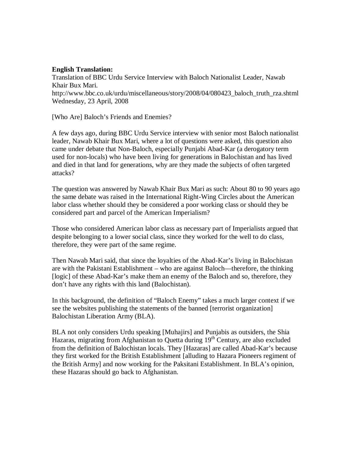## **English Translation:**

Translation of BBC Urdu Service Interview with Baloch Nationalist Leader, Nawab Khair Bux Mari. http://www.bbc.co.uk/urdu/miscellaneous/story/2008/04/080423\_baloch\_truth\_rza.shtml Wednesday, 23 April, 2008

[Who Are] Baloch's Friends and Enemies?

A few days ago, during BBC Urdu Service interview with senior most Baloch nationalist leader, Nawab Khair Bux Mari, where a lot of questions were asked, this question also came under debate that Non-Baloch, especially Punjabi Abad-Kar (a derogatory term used for non-locals) who have been living for generations in Balochistan and has lived and died in that land for generations, why are they made the subjects of often targeted attacks?

The question was answered by Nawab Khair Bux Mari as such: About 80 to 90 years ago the same debate was raised in the International Right-Wing Circles about the American labor class whether should they be considered a poor working class or should they be considered part and parcel of the American Imperialism?

Those who considered American labor class as necessary part of Imperialists argued that despite belonging to a lower social class, since they worked for the well to do class, therefore, they were part of the same regime.

Then Nawab Mari said, that since the loyalties of the Abad-Kar's living in Balochistan are with the Pakistani Establishment – who are against Baloch—therefore, the thinking [logic] of these Abad-Kar's make them an enemy of the Baloch and so, therefore, they don't have any rights with this land (Balochistan).

In this background, the definition of "Baloch Enemy" takes a much larger context if we see the websites publishing the statements of the banned [terrorist organization] Balochistan Liberation Army (BLA).

BLA not only considers Urdu speaking [Muhajirs] and Punjabis as outsiders, the Shia Hazaras, migrating from Afghanistan to Quetta during 19<sup>th</sup> Century, are also excluded from the definition of Balochistan locals. They [Hazaras] are called Abad-Kar's because they first worked for the British Establishment [alluding to Hazara Pioneers regiment of the British Army] and now working for the Paksitani Establishment. In BLA's opinion, these Hazaras should go back to Afghanistan.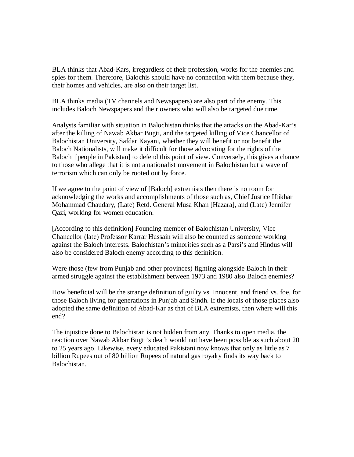BLA thinks that Abad-Kars, irregardless of their profession, works for the enemies and spies for them. Therefore, Balochis should have no connection with them because they, their homes and vehicles, are also on their target list.

BLA thinks media (TV channels and Newspapers) are also part of the enemy. This includes Baloch Newspapers and their owners who will also be targeted due time.

Analysts familiar with situation in Balochistan thinks that the attacks on the Abad-Kar's after the killing of Nawab Akbar Bugti, and the targeted killing of Vice Chancellor of Balochistan University, Safdar Kayani, whether they will benefit or not benefit the Baloch Nationalists, will make it difficult for those advocating for the rights of the Baloch [people in Pakistan] to defend this point of view. Conversely, this gives a chance to those who allege that it is not a nationalist movement in Balochistan but a wave of terrorism which can only be rooted out by force.

If we agree to the point of view of [Baloch] extremists then there is no room for acknowledging the works and accomplishments of those such as, Chief Justice Iftikhar Mohammad Chaudary, (Late) Retd. General Musa Khan [Hazara], and (Late) Jennifer Qazi, working for women education.

[According to this definition] Founding member of Balochistan University, Vice Chancellor (late) Professor Karrar Hussain will also be counted as someone working against the Baloch interests. Balochistan's minorities such as a Parsi's and Hindus will also be considered Baloch enemy according to this definition.

Were those (few from Punjab and other provinces) fighting alongside Baloch in their armed struggle against the establishment between 1973 and 1980 also Baloch enemies?

How beneficial will be the strange definition of guilty vs. Innocent, and friend vs. foe, for those Baloch living for generations in Punjab and Sindh. If the locals of those places also adopted the same definition of Abad-Kar as that of BLA extremists, then where will this end?

The injustice done to Balochistan is not hidden from any. Thanks to open media, the reaction over Nawab Akbar Bugti's death would not have been possible as such about 20 to 25 years ago. Likewise, every educated Pakistani now knows that only as little as 7 billion Rupees out of 80 billion Rupees of natural gas royalty finds its way back to Balochistan.